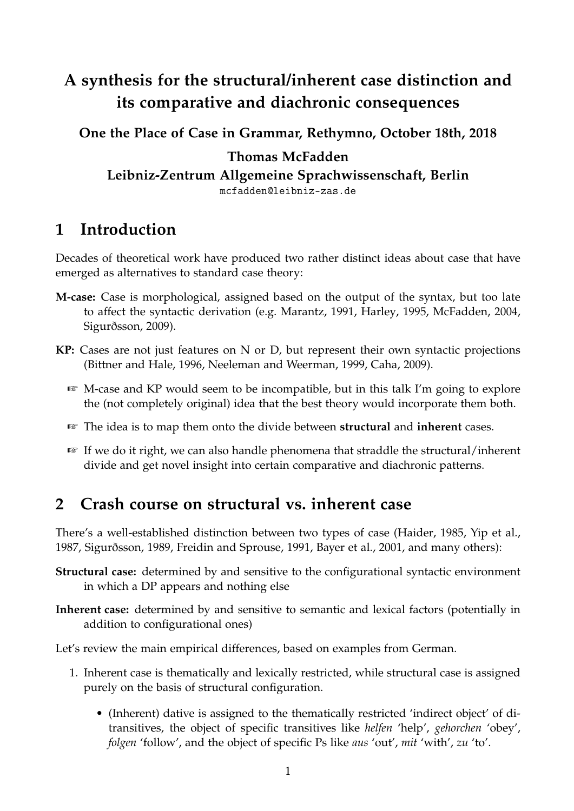# **A synthesis for the structural/inherent case distinction and its comparative and diachronic consequences**

**One the Place of Case in Grammar, Rethymno, October 18th, 2018 Thomas McFadden Leibniz-Zentrum Allgemeine Sprachwissenschaft, Berlin** mcfadden@leibniz-zas.de

## **1 Introduction**

Decades of theoretical work have produced two rather distinct ideas about case that have emerged as alternatives to standard case theory:

- **M-case:** Case is morphological, assigned based on the output of the syntax, but too late to affect the syntactic derivation (e.g. Marantz, 1991, Harley, 1995, McFadden, 2004, Sigurðsson, 2009).
- **KP:** Cases are not just features on N or D, but represent their own syntactic projections (Bittner and Hale, 1996, Neeleman and Weerman, 1999, Caha, 2009).
	- ☞ M-case and KP would seem to be incompatible, but in this talk I'm going to explore the (not completely original) idea that the best theory would incorporate them both.
	- ☞ The idea is to map them onto the divide between **structural** and **inherent** cases.
	- ☞ If we do it right, we can also handle phenomena that straddle the structural/inherent divide and get novel insight into certain comparative and diachronic patterns.

## **2 Crash course on structural vs. inherent case**

There's a well-established distinction between two types of case (Haider, 1985, Yip et al., 1987, Sigurðsson, 1989, Freidin and Sprouse, 1991, Bayer et al., 2001, and many others):

- **Structural case:** determined by and sensitive to the configurational syntactic environment in which a DP appears and nothing else
- **Inherent case:** determined by and sensitive to semantic and lexical factors (potentially in addition to configurational ones)

Let's review the main empirical differences, based on examples from German.

- 1. Inherent case is thematically and lexically restricted, while structural case is assigned purely on the basis of structural configuration.
	- (Inherent) dative is assigned to the thematically restricted 'indirect object' of ditransitives, the object of specific transitives like *helfen* 'help', *gehorchen* 'obey', *folgen* 'follow', and the object of specific Ps like *aus* 'out', *mit* 'with', *zu* 'to'.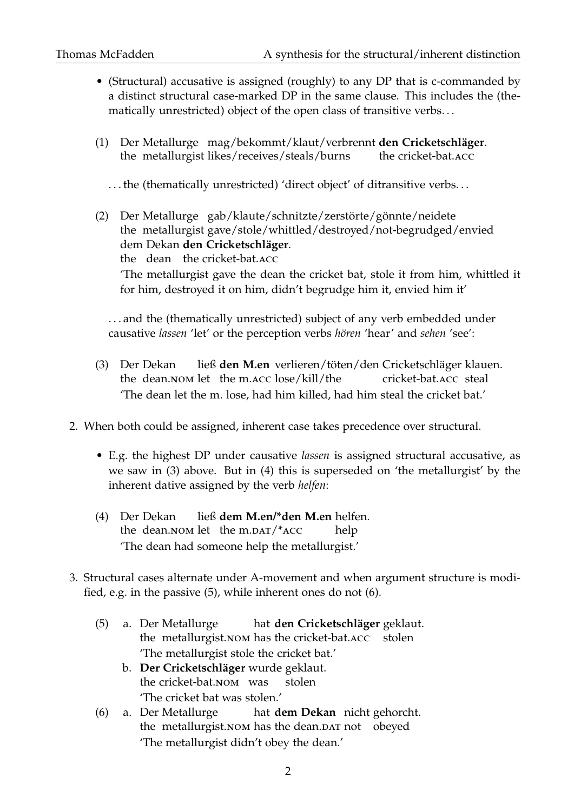- (Structural) accusative is assigned (roughly) to any DP that is c-commanded by a distinct structural case-marked DP in the same clause. This includes the (thematically unrestricted) object of the open class of transitive verbs. . .
- (1) Der Metallurge mag/bekommt/klaut/verbrennt **den Cricketschläger**. the metallurgist likes/receives/steals/burns the cricket-bat.acc

... the (thematically unrestricted) 'direct object' of ditransitive verbs...

(2) Der Metallurge gab/klaute/schnitzte/zerstörte/gönnte/neidete the metallurgist gave/stole/whittled/destroyed/not-begrudged/envied dem Dekan **den Cricketschläger**. the dean the cricket-bat.acc 'The metallurgist gave the dean the cricket bat, stole it from him, whittled it for him, destroyed it on him, didn't begrudge him it, envied him it'

. . . and the (thematically unrestricted) subject of any verb embedded under causative *lassen* 'let' or the perception verbs *hören* 'hear' and *sehen* 'see':

- (3) Der Dekan the dean. NOM let the m. ACC lose/kill/the ließ **den M.en** verlieren/töten/den Cricketschläger klauen. cricket-bat.acc steal 'The dean let the m. lose, had him killed, had him steal the cricket bat.'
- 2. When both could be assigned, inherent case takes precedence over structural.
	- E.g. the highest DP under causative *lassen* is assigned structural accusative, as we saw in (3) above. But in (4) this is superseded on 'the metallurgist' by the inherent dative assigned by the verb *helfen*:
	- (4) Der Dekan the dean.NOM let the m.DAT/\*ACC ließ **dem M.en/\*den M.en** helfen. help 'The dean had someone help the metallurgist.'
- 3. Structural cases alternate under A-movement and when argument structure is modified, e.g. in the passive (5), while inherent ones do not (6).
	- (5) a. Der Metallurge the metallurgist.nom has the cricket-bat.acc stolen hat **den Cricketschläger** geklaut. 'The metallurgist stole the cricket bat.'
		- b. **Der Cricketschläger** wurde geklaut. the cricket-bat.nom was stolen 'The cricket bat was stolen.'
	- (6) a. Der Metallurge the metallurgist. NOM has the dean. DAT not obeyed hat **dem Dekan** nicht gehorcht. 'The metallurgist didn't obey the dean.'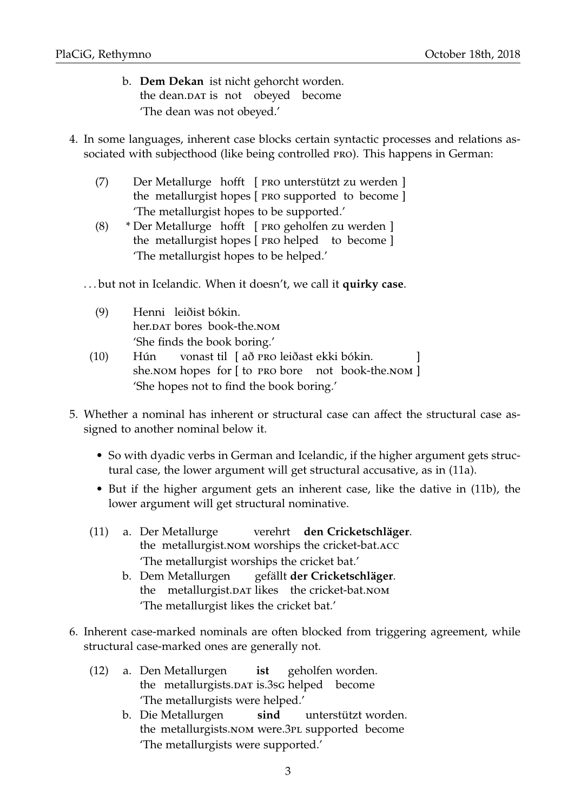- b. **Dem Dekan** ist nicht gehorcht worden. the dean.DAT is not obeyed become 'The dean was not obeyed.'
- 4. In some languages, inherent case blocks certain syntactic processes and relations associated with subjecthood (like being controlled pro). This happens in German:
	- (7) Der Metallurge hofft [ pro unterstützt zu werden ] the metallurgist hopes [ PRO supported to become ] 'The metallurgist hopes to be supported.'
	- (8) \* Der Metallurge hofft [ pro geholfen zu werden ] the metallurgist hopes [ PRO helped to become ] 'The metallurgist hopes to be helped.'

. . . but not in Icelandic. When it doesn't, we call it **quirky case**.

- (9) Henni leiðist bókin. her.DAT bores book-the.NOM 'She finds the book boring.'
- (10) Hún she.nom hopes for [ to PRO bore not book-the.nom ] vonast til [ að PRO leiðast ekki bókin. ] 'She hopes not to find the book boring.'
- 5. Whether a nominal has inherent or structural case can affect the structural case assigned to another nominal below it.
	- So with dyadic verbs in German and Icelandic, if the higher argument gets structural case, the lower argument will get structural accusative, as in (11a).
	- But if the higher argument gets an inherent case, like the dative in (11b), the lower argument will get structural nominative.
	- (11) a. Der Metallurge the metallurgist.nom worships the cricket-bat.acc verehrt **den Cricketschläger**. 'The metallurgist worships the cricket bat.'
		- b. Dem Metallurgen the metallurgist.DAT likes the cricket-bat.NOM gefällt **der Cricketschläger**. 'The metallurgist likes the cricket bat.'
- 6. Inherent case-marked nominals are often blocked from triggering agreement, while structural case-marked ones are generally not.
	- (12) a. Den Metallurgen the metallurgists.DAT is.3sG helped become **ist** geholfen worden. 'The metallurgists were helped.'
		- b. Die Metallurgen the metallurgists.NOM were.3PL supported become **sind** unterstützt worden. 'The metallurgists were supported.'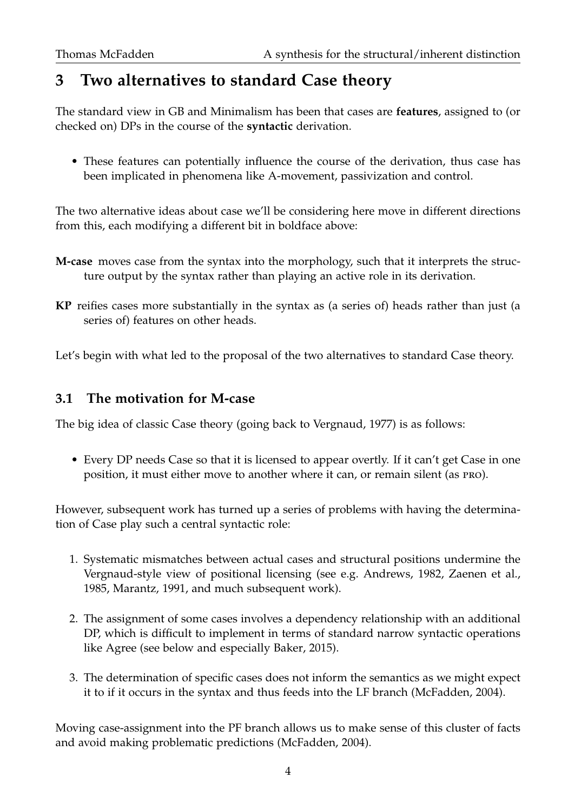# **3 Two alternatives to standard Case theory**

The standard view in GB and Minimalism has been that cases are **features**, assigned to (or checked on) DPs in the course of the **syntactic** derivation.

• These features can potentially influence the course of the derivation, thus case has been implicated in phenomena like A-movement, passivization and control.

The two alternative ideas about case we'll be considering here move in different directions from this, each modifying a different bit in boldface above:

- **M-case** moves case from the syntax into the morphology, such that it interprets the structure output by the syntax rather than playing an active role in its derivation.
- **KP** reifies cases more substantially in the syntax as (a series of) heads rather than just (a series of) features on other heads.

Let's begin with what led to the proposal of the two alternatives to standard Case theory.

## **3.1 The motivation for M-case**

The big idea of classic Case theory (going back to Vergnaud, 1977) is as follows:

• Every DP needs Case so that it is licensed to appear overtly. If it can't get Case in one position, it must either move to another where it can, or remain silent (as pro).

However, subsequent work has turned up a series of problems with having the determination of Case play such a central syntactic role:

- 1. Systematic mismatches between actual cases and structural positions undermine the Vergnaud-style view of positional licensing (see e.g. Andrews, 1982, Zaenen et al., 1985, Marantz, 1991, and much subsequent work).
- 2. The assignment of some cases involves a dependency relationship with an additional DP, which is difficult to implement in terms of standard narrow syntactic operations like Agree (see below and especially Baker, 2015).
- 3. The determination of specific cases does not inform the semantics as we might expect it to if it occurs in the syntax and thus feeds into the LF branch (McFadden, 2004).

Moving case-assignment into the PF branch allows us to make sense of this cluster of facts and avoid making problematic predictions (McFadden, 2004).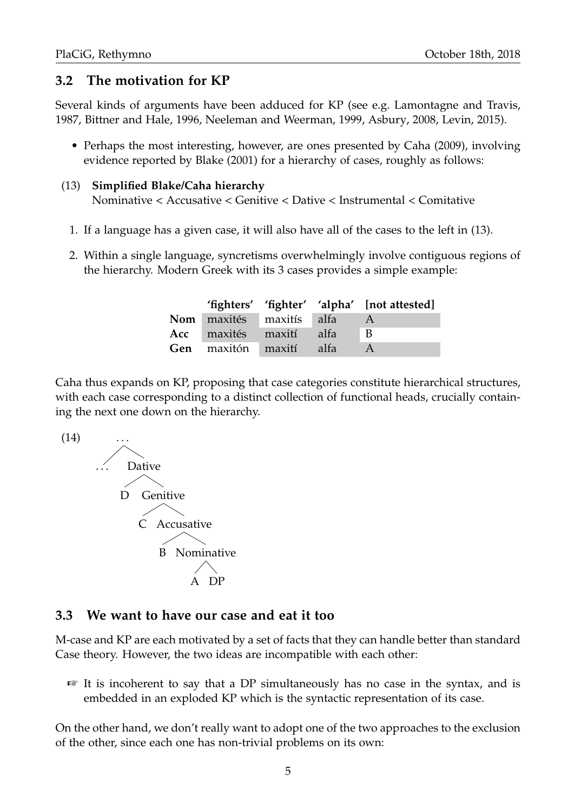## **3.2 The motivation for KP**

Several kinds of arguments have been adduced for KP (see e.g. Lamontagne and Travis, 1987, Bittner and Hale, 1996, Neeleman and Weerman, 1999, Asbury, 2008, Levin, 2015).

• Perhaps the most interesting, however, are ones presented by Caha (2009), involving evidence reported by Blake (2001) for a hierarchy of cases, roughly as follows:

#### (13) **Simplified Blake/Caha hierarchy**

Nominative < Accusative < Genitive < Dative < Instrumental < Comitative

- 1. If a language has a given case, it will also have all of the cases to the left in (13).
- 2. Within a single language, syncretisms overwhelmingly involve contiguous regions of the hierarchy. Modern Greek with its 3 cases provides a simple example:

|                                 |  | 'fighters' 'fighter' 'alpha' [not attested] |
|---------------------------------|--|---------------------------------------------|
| <b>Nom</b> maxités maxitís alfa |  |                                             |
| Acc maxités maxití alfa         |  | $\overline{B}$                              |
| Gen maxitón maxití alfa         |  |                                             |

Caha thus expands on KP, proposing that case categories constitute hierarchical structures, with each case corresponding to a distinct collection of functional heads, crucially containing the next one down on the hierarchy.



## **3.3 We want to have our case and eat it too**

M-case and KP are each motivated by a set of facts that they can handle better than standard Case theory. However, the two ideas are incompatible with each other:

☞ It is incoherent to say that a DP simultaneously has no case in the syntax, and is embedded in an exploded KP which is the syntactic representation of its case.

On the other hand, we don't really want to adopt one of the two approaches to the exclusion of the other, since each one has non-trivial problems on its own: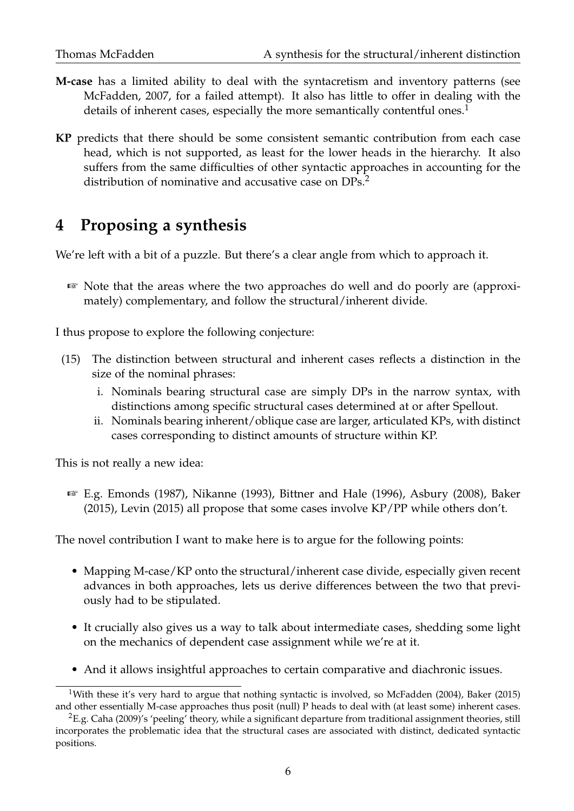- **M-case** has a limited ability to deal with the syntacretism and inventory patterns (see McFadden, 2007, for a failed attempt). It also has little to offer in dealing with the details of inherent cases, especially the more semantically contentful ones.<sup>1</sup>
- **KP** predicts that there should be some consistent semantic contribution from each case head, which is not supported, as least for the lower heads in the hierarchy. It also suffers from the same difficulties of other syntactic approaches in accounting for the distribution of nominative and accusative case on DPs.<sup>2</sup>

## **4 Proposing a synthesis**

We're left with a bit of a puzzle. But there's a clear angle from which to approach it.

☞ Note that the areas where the two approaches do well and do poorly are (approximately) complementary, and follow the structural/inherent divide.

I thus propose to explore the following conjecture:

- (15) The distinction between structural and inherent cases reflects a distinction in the size of the nominal phrases:
	- i. Nominals bearing structural case are simply DPs in the narrow syntax, with distinctions among specific structural cases determined at or after Spellout.
	- ii. Nominals bearing inherent/oblique case are larger, articulated KPs, with distinct cases corresponding to distinct amounts of structure within KP.

This is not really a new idea:

☞ E.g. Emonds (1987), Nikanne (1993), Bittner and Hale (1996), Asbury (2008), Baker (2015), Levin (2015) all propose that some cases involve KP/PP while others don't.

The novel contribution I want to make here is to argue for the following points:

- Mapping M-case/KP onto the structural/inherent case divide, especially given recent advances in both approaches, lets us derive differences between the two that previously had to be stipulated.
- It crucially also gives us a way to talk about intermediate cases, shedding some light on the mechanics of dependent case assignment while we're at it.
- And it allows insightful approaches to certain comparative and diachronic issues.

<sup>&</sup>lt;sup>1</sup>With these it's very hard to argue that nothing syntactic is involved, so McFadden (2004), Baker (2015) and other essentially M-case approaches thus posit (null) P heads to deal with (at least some) inherent cases.

 ${}^{2}E.g.$  Caha (2009)'s 'peeling' theory, while a significant departure from traditional assignment theories, still incorporates the problematic idea that the structural cases are associated with distinct, dedicated syntactic positions.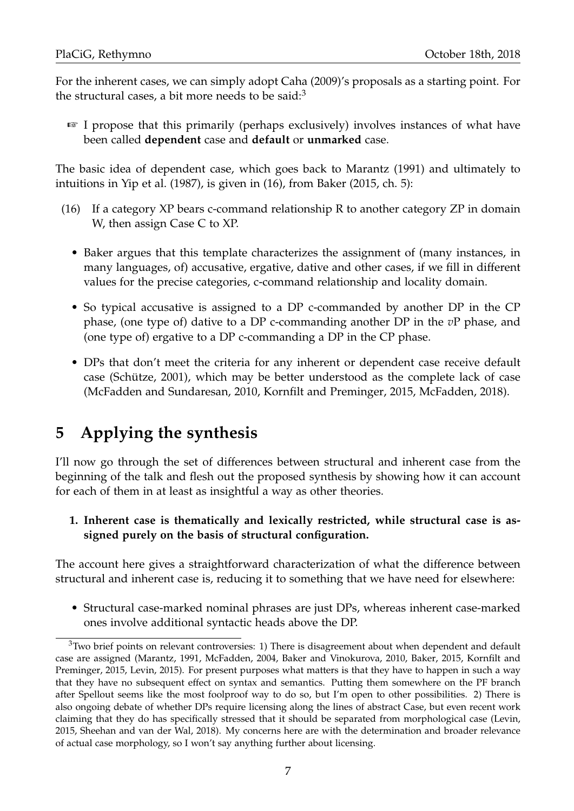For the inherent cases, we can simply adopt Caha (2009)'s proposals as a starting point. For the structural cases, a bit more needs to be said: $3$ 

☞ I propose that this primarily (perhaps exclusively) involves instances of what have been called **dependent** case and **default** or **unmarked** case.

The basic idea of dependent case, which goes back to Marantz (1991) and ultimately to intuitions in Yip et al. (1987), is given in (16), from Baker (2015, ch. 5):

- (16) If a category XP bears c-command relationship R to another category ZP in domain W, then assign Case C to XP.
	- Baker argues that this template characterizes the assignment of (many instances, in many languages, of) accusative, ergative, dative and other cases, if we fill in different values for the precise categories, c-command relationship and locality domain.
	- So typical accusative is assigned to a DP c-commanded by another DP in the CP phase, (one type of) dative to a DP c-commanding another DP in the *v*P phase, and (one type of) ergative to a DP c-commanding a DP in the CP phase.
	- DPs that don't meet the criteria for any inherent or dependent case receive default case (Schütze, 2001), which may be better understood as the complete lack of case (McFadden and Sundaresan, 2010, Kornfilt and Preminger, 2015, McFadden, 2018).

# **5 Applying the synthesis**

I'll now go through the set of differences between structural and inherent case from the beginning of the talk and flesh out the proposed synthesis by showing how it can account for each of them in at least as insightful a way as other theories.

#### **1. Inherent case is thematically and lexically restricted, while structural case is assigned purely on the basis of structural configuration.**

The account here gives a straightforward characterization of what the difference between structural and inherent case is, reducing it to something that we have need for elsewhere:

• Structural case-marked nominal phrases are just DPs, whereas inherent case-marked ones involve additional syntactic heads above the DP.

 $3$ Two brief points on relevant controversies: 1) There is disagreement about when dependent and default case are assigned (Marantz, 1991, McFadden, 2004, Baker and Vinokurova, 2010, Baker, 2015, Kornfilt and Preminger, 2015, Levin, 2015). For present purposes what matters is that they have to happen in such a way that they have no subsequent effect on syntax and semantics. Putting them somewhere on the PF branch after Spellout seems like the most foolproof way to do so, but I'm open to other possibilities. 2) There is also ongoing debate of whether DPs require licensing along the lines of abstract Case, but even recent work claiming that they do has specifically stressed that it should be separated from morphological case (Levin, 2015, Sheehan and van der Wal, 2018). My concerns here are with the determination and broader relevance of actual case morphology, so I won't say anything further about licensing.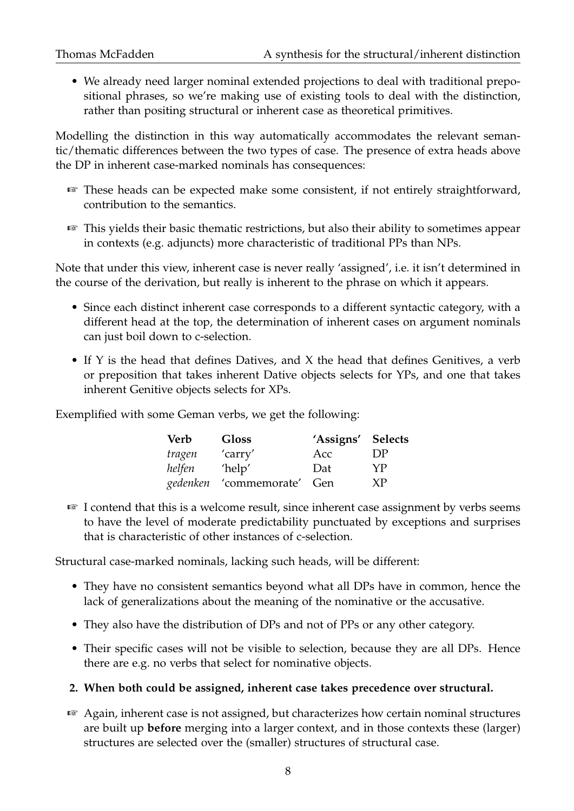• We already need larger nominal extended projections to deal with traditional prepositional phrases, so we're making use of existing tools to deal with the distinction, rather than positing structural or inherent case as theoretical primitives.

Modelling the distinction in this way automatically accommodates the relevant semantic/thematic differences between the two types of case. The presence of extra heads above the DP in inherent case-marked nominals has consequences:

- ☞ These heads can be expected make some consistent, if not entirely straightforward, contribution to the semantics.
- ☞ This yields their basic thematic restrictions, but also their ability to sometimes appear in contexts (e.g. adjuncts) more characteristic of traditional PPs than NPs.

Note that under this view, inherent case is never really 'assigned', i.e. it isn't determined in the course of the derivation, but really is inherent to the phrase on which it appears.

- Since each distinct inherent case corresponds to a different syntactic category, with a different head at the top, the determination of inherent cases on argument nominals can just boil down to c-selection.
- If Y is the head that defines Datives, and X the head that defines Genitives, a verb or preposition that takes inherent Dative objects selects for YPs, and one that takes inherent Genitive objects selects for XPs.

Exemplified with some Geman verbs, we get the following:

| Verb     | <b>Gloss</b>      | 'Assigns' Selects |     |
|----------|-------------------|-------------------|-----|
| tragen   | 'carry'           | Acc               | DP  |
| helfen   | 'help'            | Dat               | YP. |
| gedenken | 'commemorate' Gen |                   | XP  |

☞ I contend that this is a welcome result, since inherent case assignment by verbs seems to have the level of moderate predictability punctuated by exceptions and surprises that is characteristic of other instances of c-selection.

Structural case-marked nominals, lacking such heads, will be different:

- They have no consistent semantics beyond what all DPs have in common, hence the lack of generalizations about the meaning of the nominative or the accusative.
- They also have the distribution of DPs and not of PPs or any other category.
- Their specific cases will not be visible to selection, because they are all DPs. Hence there are e.g. no verbs that select for nominative objects.

#### **2. When both could be assigned, inherent case takes precedence over structural.**

☞ Again, inherent case is not assigned, but characterizes how certain nominal structures are built up **before** merging into a larger context, and in those contexts these (larger) structures are selected over the (smaller) structures of structural case.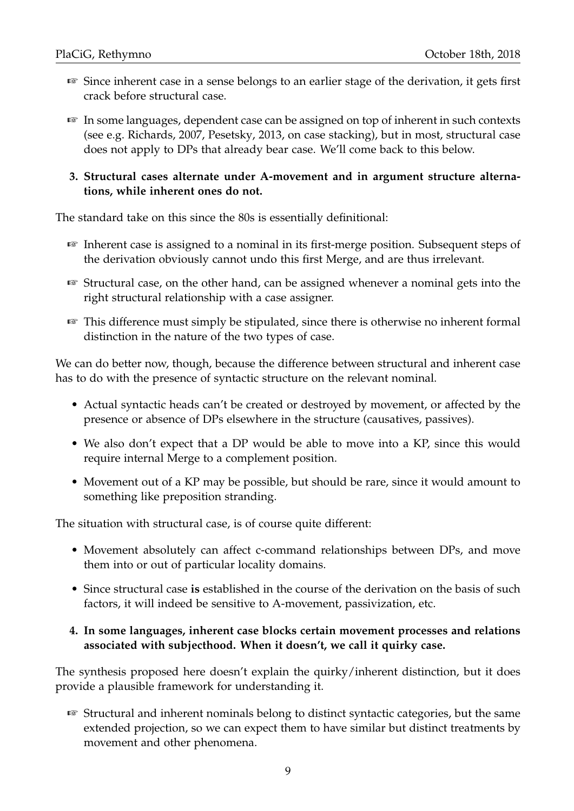- ☞ Since inherent case in a sense belongs to an earlier stage of the derivation, it gets first crack before structural case.
- ☞ In some languages, dependent case can be assigned on top of inherent in such contexts (see e.g. Richards, 2007, Pesetsky, 2013, on case stacking), but in most, structural case does not apply to DPs that already bear case. We'll come back to this below.

#### **3. Structural cases alternate under A-movement and in argument structure alternations, while inherent ones do not.**

The standard take on this since the 80s is essentially definitional:

- ☞ Inherent case is assigned to a nominal in its first-merge position. Subsequent steps of the derivation obviously cannot undo this first Merge, and are thus irrelevant.
- ☞ Structural case, on the other hand, can be assigned whenever a nominal gets into the right structural relationship with a case assigner.
- ☞ This difference must simply be stipulated, since there is otherwise no inherent formal distinction in the nature of the two types of case.

We can do better now, though, because the difference between structural and inherent case has to do with the presence of syntactic structure on the relevant nominal.

- Actual syntactic heads can't be created or destroyed by movement, or affected by the presence or absence of DPs elsewhere in the structure (causatives, passives).
- We also don't expect that a DP would be able to move into a KP, since this would require internal Merge to a complement position.
- Movement out of a KP may be possible, but should be rare, since it would amount to something like preposition stranding.

The situation with structural case, is of course quite different:

- Movement absolutely can affect c-command relationships between DPs, and move them into or out of particular locality domains.
- Since structural case **is** established in the course of the derivation on the basis of such factors, it will indeed be sensitive to A-movement, passivization, etc.

#### **4. In some languages, inherent case blocks certain movement processes and relations associated with subjecthood. When it doesn't, we call it quirky case.**

The synthesis proposed here doesn't explain the quirky/inherent distinction, but it does provide a plausible framework for understanding it.

☞ Structural and inherent nominals belong to distinct syntactic categories, but the same extended projection, so we can expect them to have similar but distinct treatments by movement and other phenomena.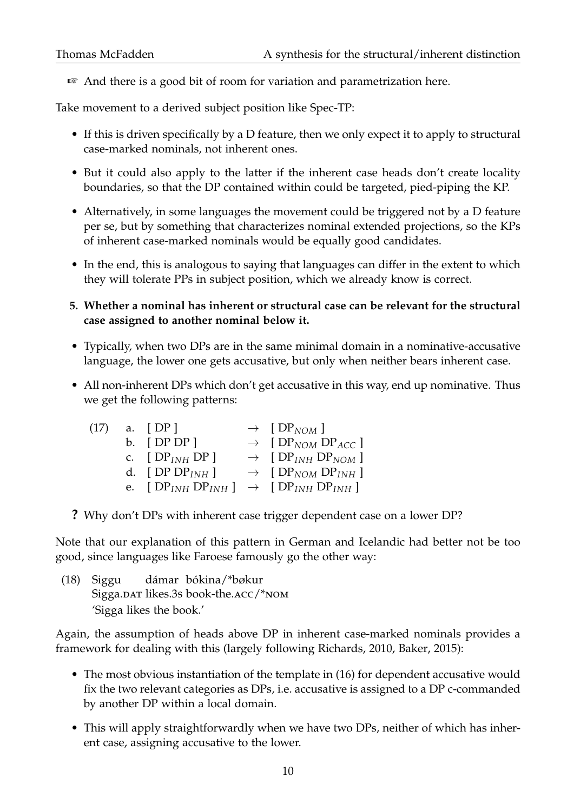☞ And there is a good bit of room for variation and parametrization here.

Take movement to a derived subject position like Spec-TP:

- If this is driven specifically by a D feature, then we only expect it to apply to structural case-marked nominals, not inherent ones.
- But it could also apply to the latter if the inherent case heads don't create locality boundaries, so that the DP contained within could be targeted, pied-piping the KP.
- Alternatively, in some languages the movement could be triggered not by a D feature per se, but by something that characterizes nominal extended projections, so the KPs of inherent case-marked nominals would be equally good candidates.
- In the end, this is analogous to saying that languages can differ in the extent to which they will tolerate PPs in subject position, which we already know is correct.
- **5. Whether a nominal has inherent or structural case can be relevant for the structural case assigned to another nominal below it.**
- Typically, when two DPs are in the same minimal domain in a nominative-accusative language, the lower one gets accusative, but only when neither bears inherent case.
- All non-inherent DPs which don't get accusative in this way, end up nominative. Thus we get the following patterns:

| (17) | a. $[DP]$                                                      | $\rightarrow$ [DP <sub>NOM</sub> ]                   |
|------|----------------------------------------------------------------|------------------------------------------------------|
|      | b. $[DPDP]$                                                    | $\rightarrow$ [DP <sub>NOM</sub> DP <sub>ACC</sub> ] |
|      | c. $[DP_{INH}DP]$                                              | $\rightarrow$ [DP <sub>INH</sub> DP <sub>NOM</sub> ] |
|      | d. [DP $DP_{INH}$ ]                                            | $\rightarrow$ [DP <sub>NOM</sub> DP <sub>INH</sub> ] |
|      | e. [ $DP_{INH}DP_{INH}$ ] $\rightarrow$ [ $DP_{INH}DP_{INH}$ ] |                                                      |

**?** Why don't DPs with inherent case trigger dependent case on a lower DP?

Note that our explanation of this pattern in German and Icelandic had better not be too good, since languages like Faroese famously go the other way:

(18) Siggu Sigga.DAT likes.3s book-the.ACC/\*NOM dámar bókina/\*bøkur 'Sigga likes the book.'

Again, the assumption of heads above DP in inherent case-marked nominals provides a framework for dealing with this (largely following Richards, 2010, Baker, 2015):

- The most obvious instantiation of the template in (16) for dependent accusative would fix the two relevant categories as DPs, i.e. accusative is assigned to a DP c-commanded by another DP within a local domain.
- This will apply straightforwardly when we have two DPs, neither of which has inherent case, assigning accusative to the lower.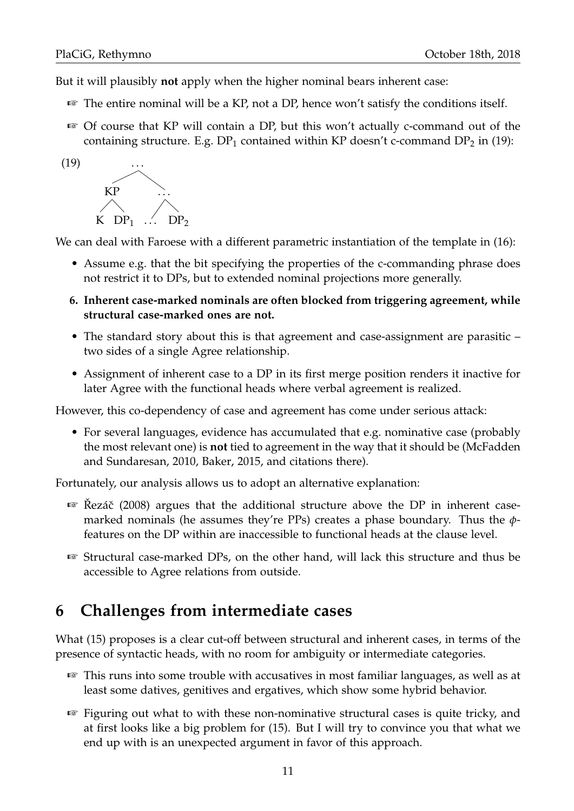$(19)$ 

But it will plausibly **not** apply when the higher nominal bears inherent case:

- ☞ The entire nominal will be a KP, not a DP, hence won't satisfy the conditions itself.
- ☞ Of course that KP will contain a DP, but this won't actually c-command out of the containing structure. E.g.  $DP_1$  contained within KP doesn't c-command  $DP_2$  in (19):



We can deal with Faroese with a different parametric instantiation of the template in (16):

- Assume e.g. that the bit specifying the properties of the c-commanding phrase does not restrict it to DPs, but to extended nominal projections more generally.
- **6. Inherent case-marked nominals are often blocked from triggering agreement, while structural case-marked ones are not.**
- The standard story about this is that agreement and case-assignment are parasitic two sides of a single Agree relationship.
- Assignment of inherent case to a DP in its first merge position renders it inactive for later Agree with the functional heads where verbal agreement is realized.

However, this co-dependency of case and agreement has come under serious attack:

• For several languages, evidence has accumulated that e.g. nominative case (probably the most relevant one) is **not** tied to agreement in the way that it should be (McFadden and Sundaresan, 2010, Baker, 2015, and citations there).

Fortunately, our analysis allows us to adopt an alternative explanation:

- $\mathbb{R}^n$  Rezáč (2008) argues that the additional structure above the DP in inherent casemarked nominals (he assumes they're PPs) creates a phase boundary. Thus the *φ*features on the DP within are inaccessible to functional heads at the clause level.
- ☞ Structural case-marked DPs, on the other hand, will lack this structure and thus be accessible to Agree relations from outside.

# **6 Challenges from intermediate cases**

What (15) proposes is a clear cut-off between structural and inherent cases, in terms of the presence of syntactic heads, with no room for ambiguity or intermediate categories.

- ☞ This runs into some trouble with accusatives in most familiar languages, as well as at least some datives, genitives and ergatives, which show some hybrid behavior.
- ☞ Figuring out what to with these non-nominative structural cases is quite tricky, and at first looks like a big problem for (15). But I will try to convince you that what we end up with is an unexpected argument in favor of this approach.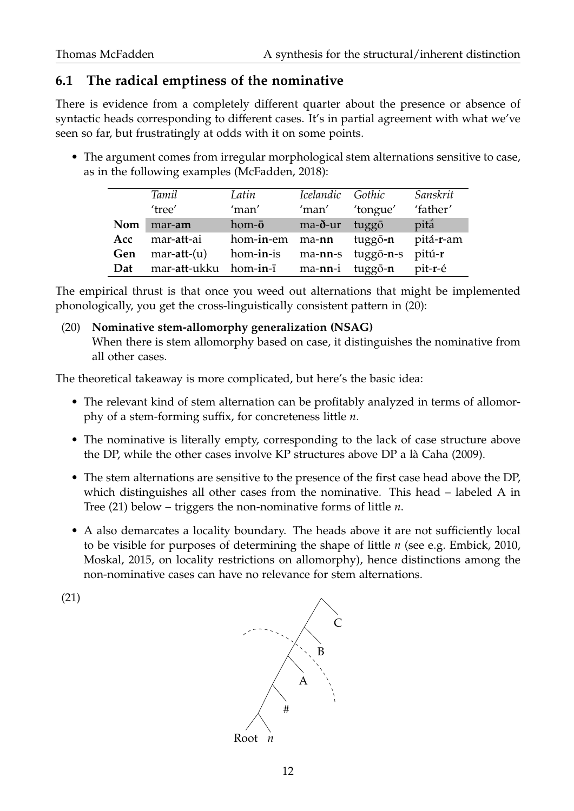## **6.1 The radical emptiness of the nominative**

There is evidence from a completely different quarter about the presence or absence of syntactic heads corresponding to different cases. It's in partial agreement with what we've seen so far, but frustratingly at odds with it on some points.

• The argument comes from irregular morphological stem alternations sensitive to case, as in the following examples (McFadden, 2018):

|     | Tamil         | Latin          | Icelandic Gothic |                 | Sanskrit  |
|-----|---------------|----------------|------------------|-----------------|-----------|
|     | 'tree'        | 'man'          | 'man'            | 'tongue'        | 'father'  |
| Nom | mar-am        | hom- $\bar{o}$ | ma-ð-ur          | tuggō           | pitá      |
| Acc | mar-att-ai    | hom-in-em      | ma-nn            | tuggō-n         | pitá-r-am |
| Gen | $mar-att-(u)$ | hom-in-is      | ma-nn-s          | tuggō-n-s       | pitú-r    |
| Dat | mar-att-ukku  | hom-in-ī       |                  | ma-nn-i tuggō-n | pit-r-é   |

The empirical thrust is that once you weed out alternations that might be implemented phonologically, you get the cross-linguistically consistent pattern in (20):

#### (20) **Nominative stem-allomorphy generalization (NSAG)**

When there is stem allomorphy based on case, it distinguishes the nominative from all other cases.

The theoretical takeaway is more complicated, but here's the basic idea:

- The relevant kind of stem alternation can be profitably analyzed in terms of allomorphy of a stem-forming suffix, for concreteness little *n*.
- The nominative is literally empty, corresponding to the lack of case structure above the DP, while the other cases involve KP structures above DP a là Caha (2009).
- The stem alternations are sensitive to the presence of the first case head above the DP, which distinguishes all other cases from the nominative. This head – labeled A in Tree (21) below – triggers the non-nominative forms of little *n*.
- A also demarcates a locality boundary. The heads above it are not sufficiently local to be visible for purposes of determining the shape of little *n* (see e.g. Embick, 2010, Moskal, 2015, on locality restrictions on allomorphy), hence distinctions among the non-nominative cases can have no relevance for stem alternations.



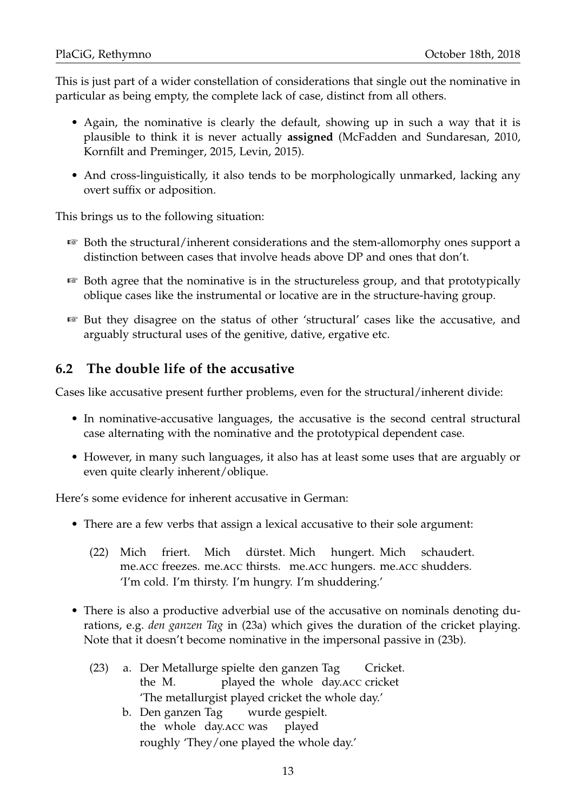This is just part of a wider constellation of considerations that single out the nominative in particular as being empty, the complete lack of case, distinct from all others.

- Again, the nominative is clearly the default, showing up in such a way that it is plausible to think it is never actually **assigned** (McFadden and Sundaresan, 2010, Kornfilt and Preminger, 2015, Levin, 2015).
- And cross-linguistically, it also tends to be morphologically unmarked, lacking any overt suffix or adposition.

This brings us to the following situation:

- ☞ Both the structural/inherent considerations and the stem-allomorphy ones support a distinction between cases that involve heads above DP and ones that don't.
- ☞ Both agree that the nominative is in the structureless group, and that prototypically oblique cases like the instrumental or locative are in the structure-having group.
- ☞ But they disagree on the status of other 'structural' cases like the accusative, and arguably structural uses of the genitive, dative, ergative etc.

## **6.2 The double life of the accusative**

Cases like accusative present further problems, even for the structural/inherent divide:

- In nominative-accusative languages, the accusative is the second central structural case alternating with the nominative and the prototypical dependent case.
- However, in many such languages, it also has at least some uses that are arguably or even quite clearly inherent/oblique.

Here's some evidence for inherent accusative in German:

- There are a few verbs that assign a lexical accusative to their sole argument:
	- (22) Mich me.acc freezes. me.acc thirsts. me.acc hungers. me.acc shudders. friert. Mich dürstet. Mich hungert. Mich schaudert. 'I'm cold. I'm thirsty. I'm hungry. I'm shuddering.'
- There is also a productive adverbial use of the accusative on nominals denoting durations, e.g. *den ganzen Tag* in (23a) which gives the duration of the cricket playing. Note that it doesn't become nominative in the impersonal passive in (23b).
	- (23) a. Der Metallurge spielte den ganzen Tag the M. played the whole day. ACC cricket Cricket. 'The metallurgist played cricket the whole day.'
		- b. Den ganzen Tag the whole day.acc was wurde gespielt. played roughly 'They/one played the whole day.'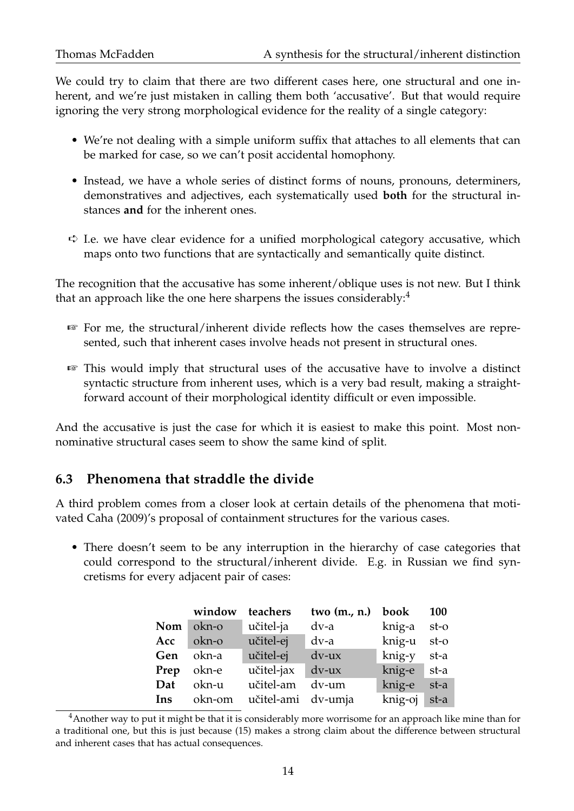We could try to claim that there are two different cases here, one structural and one inherent, and we're just mistaken in calling them both 'accusative'. But that would require ignoring the very strong morphological evidence for the reality of a single category:

- We're not dealing with a simple uniform suffix that attaches to all elements that can be marked for case, so we can't posit accidental homophony.
- Instead, we have a whole series of distinct forms of nouns, pronouns, determiners, demonstratives and adjectives, each systematically used **both** for the structural instances **and** for the inherent ones.
- $\Rightarrow$  I.e. we have clear evidence for a unified morphological category accusative, which maps onto two functions that are syntactically and semantically quite distinct.

The recognition that the accusative has some inherent/oblique uses is not new. But I think that an approach like the one here sharpens the issues considerably: $4$ 

- ☞ For me, the structural/inherent divide reflects how the cases themselves are represented, such that inherent cases involve heads not present in structural ones.
- ☞ This would imply that structural uses of the accusative have to involve a distinct syntactic structure from inherent uses, which is a very bad result, making a straightforward account of their morphological identity difficult or even impossible.

And the accusative is just the case for which it is easiest to make this point. Most nonnominative structural cases seem to show the same kind of split.

## **6.3 Phenomena that straddle the divide**

A third problem comes from a closer look at certain details of the phenomena that motivated Caha (2009)'s proposal of containment structures for the various cases.

• There doesn't seem to be any interruption in the hierarchy of case categories that could correspond to the structural/inherent divide. E.g. in Russian we find syncretisms for every adjacent pair of cases:

|                | window     | teachers           | two $(m., n.)$ book |              | <b>100</b> |
|----------------|------------|--------------------|---------------------|--------------|------------|
| $\textbf{Nom}$ | okn-o      | učitel-ja          | dv-a                | knig-a st-o  |            |
| Acc            | okn-o      | učitel-ej          | dv-a                | knig-u st-o  |            |
| Gen            | okn-a      | učitel-ej          | $dv$ - $ux$         | knig-y       | st-a       |
|                | Prep okn-e | učitel-jax dv-ux   |                     | knig-e st-a  |            |
| Dat            | okn-u      | učitel-am          | dv-um               | knig-e       | st-a       |
| Ins            | okn-om     | učitel-ami dv-umja |                     | knig-oj st-a |            |

 $4$ Another way to put it might be that it is considerably more worrisome for an approach like mine than for a traditional one, but this is just because (15) makes a strong claim about the difference between structural and inherent cases that has actual consequences.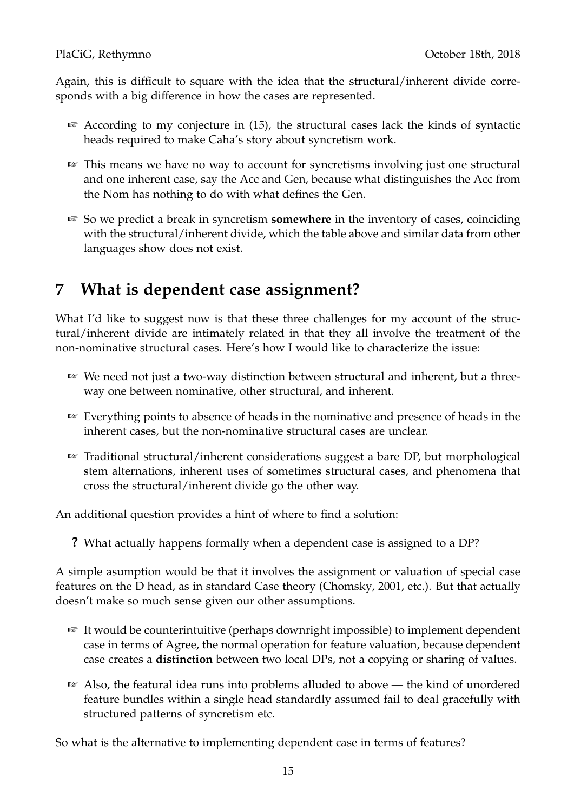Again, this is difficult to square with the idea that the structural/inherent divide corresponds with a big difference in how the cases are represented.

- $\sqrt{w}$  According to my conjecture in (15), the structural cases lack the kinds of syntactic heads required to make Caha's story about syncretism work.
- ☞ This means we have no way to account for syncretisms involving just one structural and one inherent case, say the Acc and Gen, because what distinguishes the Acc from the Nom has nothing to do with what defines the Gen.
- ☞ So we predict a break in syncretism **somewhere** in the inventory of cases, coinciding with the structural/inherent divide, which the table above and similar data from other languages show does not exist.

# **7 What is dependent case assignment?**

What I'd like to suggest now is that these three challenges for my account of the structural/inherent divide are intimately related in that they all involve the treatment of the non-nominative structural cases. Here's how I would like to characterize the issue:

- ☞ We need not just a two-way distinction between structural and inherent, but a threeway one between nominative, other structural, and inherent.
- ☞ Everything points to absence of heads in the nominative and presence of heads in the inherent cases, but the non-nominative structural cases are unclear.
- ☞ Traditional structural/inherent considerations suggest a bare DP, but morphological stem alternations, inherent uses of sometimes structural cases, and phenomena that cross the structural/inherent divide go the other way.

An additional question provides a hint of where to find a solution:

**?** What actually happens formally when a dependent case is assigned to a DP?

A simple asumption would be that it involves the assignment or valuation of special case features on the D head, as in standard Case theory (Chomsky, 2001, etc.). But that actually doesn't make so much sense given our other assumptions.

- ☞ It would be counterintuitive (perhaps downright impossible) to implement dependent case in terms of Agree, the normal operation for feature valuation, because dependent case creates a **distinction** between two local DPs, not a copying or sharing of values.
- ☞ Also, the featural idea runs into problems alluded to above the kind of unordered feature bundles within a single head standardly assumed fail to deal gracefully with structured patterns of syncretism etc.

So what is the alternative to implementing dependent case in terms of features?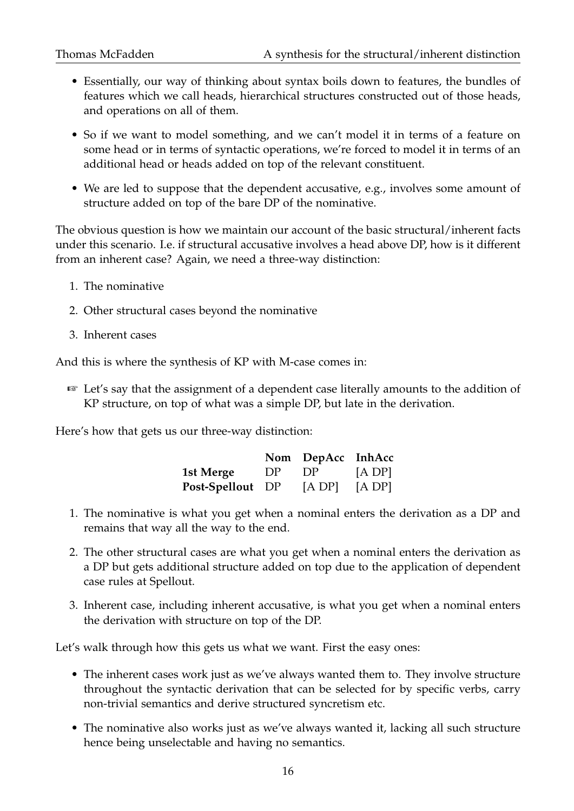- Essentially, our way of thinking about syntax boils down to features, the bundles of features which we call heads, hierarchical structures constructed out of those heads, and operations on all of them.
- So if we want to model something, and we can't model it in terms of a feature on some head or in terms of syntactic operations, we're forced to model it in terms of an additional head or heads added on top of the relevant constituent.
- We are led to suppose that the dependent accusative, e.g., involves some amount of structure added on top of the bare DP of the nominative.

The obvious question is how we maintain our account of the basic structural/inherent facts under this scenario. I.e. if structural accusative involves a head above DP, how is it different from an inherent case? Again, we need a three-way distinction:

- 1. The nominative
- 2. Other structural cases beyond the nominative
- 3. Inherent cases

And this is where the synthesis of KP with M-case comes in:

☞ Let's say that the assignment of a dependent case literally amounts to the addition of KP structure, on top of what was a simple DP, but late in the derivation.

Here's how that gets us our three-way distinction:

|                  |     | Nom DepAcc InhAcc |             |
|------------------|-----|-------------------|-------------|
| 1st Merge        | DP. | DP                | $[A \, DP]$ |
| Post-Spellout DP |     | [A DP]            | [A DP]      |

- 1. The nominative is what you get when a nominal enters the derivation as a DP and remains that way all the way to the end.
- 2. The other structural cases are what you get when a nominal enters the derivation as a DP but gets additional structure added on top due to the application of dependent case rules at Spellout.
- 3. Inherent case, including inherent accusative, is what you get when a nominal enters the derivation with structure on top of the DP.

Let's walk through how this gets us what we want. First the easy ones:

- The inherent cases work just as we've always wanted them to. They involve structure throughout the syntactic derivation that can be selected for by specific verbs, carry non-trivial semantics and derive structured syncretism etc.
- The nominative also works just as we've always wanted it, lacking all such structure hence being unselectable and having no semantics.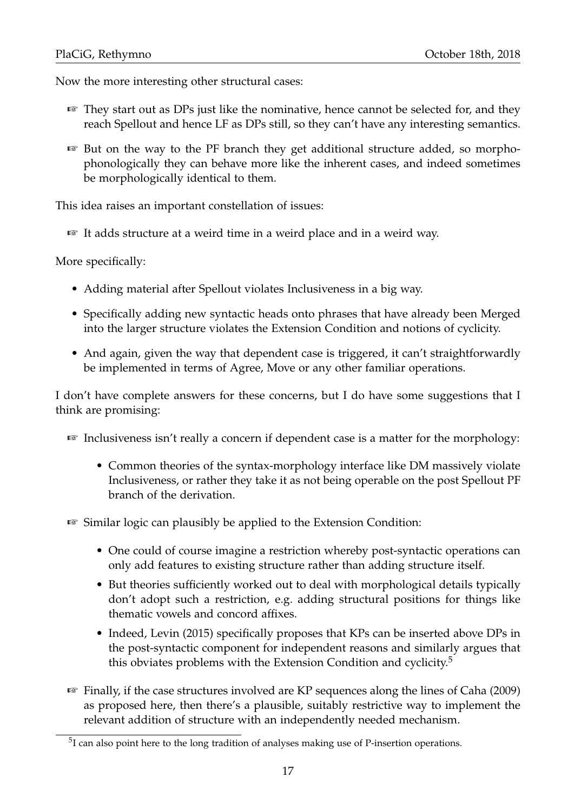Now the more interesting other structural cases:

- ☞ They start out as DPs just like the nominative, hence cannot be selected for, and they reach Spellout and hence LF as DPs still, so they can't have any interesting semantics.
- ☞ But on the way to the PF branch they get additional structure added, so morphophonologically they can behave more like the inherent cases, and indeed sometimes be morphologically identical to them.

This idea raises an important constellation of issues:

☞ It adds structure at a weird time in a weird place and in a weird way.

More specifically:

- Adding material after Spellout violates Inclusiveness in a big way.
- Specifically adding new syntactic heads onto phrases that have already been Merged into the larger structure violates the Extension Condition and notions of cyclicity.
- And again, given the way that dependent case is triggered, it can't straightforwardly be implemented in terms of Agree, Move or any other familiar operations.

I don't have complete answers for these concerns, but I do have some suggestions that I think are promising:

- ☞ Inclusiveness isn't really a concern if dependent case is a matter for the morphology:
	- Common theories of the syntax-morphology interface like DM massively violate Inclusiveness, or rather they take it as not being operable on the post Spellout PF branch of the derivation.

☞ Similar logic can plausibly be applied to the Extension Condition:

- One could of course imagine a restriction whereby post-syntactic operations can only add features to existing structure rather than adding structure itself.
- But theories sufficiently worked out to deal with morphological details typically don't adopt such a restriction, e.g. adding structural positions for things like thematic vowels and concord affixes.
- Indeed, Levin (2015) specifically proposes that KPs can be inserted above DPs in the post-syntactic component for independent reasons and similarly argues that this obviates problems with the Extension Condition and cyclicity.<sup>5</sup>
- ☞ Finally, if the case structures involved are KP sequences along the lines of Caha (2009) as proposed here, then there's a plausible, suitably restrictive way to implement the relevant addition of structure with an independently needed mechanism.

 $5I$  can also point here to the long tradition of analyses making use of P-insertion operations.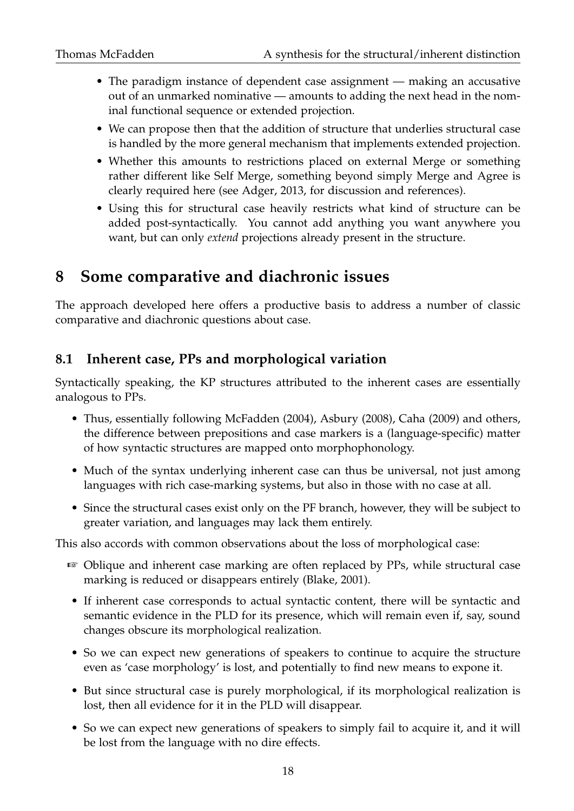- The paradigm instance of dependent case assignment making an accusative out of an unmarked nominative — amounts to adding the next head in the nominal functional sequence or extended projection.
- We can propose then that the addition of structure that underlies structural case is handled by the more general mechanism that implements extended projection.
- Whether this amounts to restrictions placed on external Merge or something rather different like Self Merge, something beyond simply Merge and Agree is clearly required here (see Adger, 2013, for discussion and references).
- Using this for structural case heavily restricts what kind of structure can be added post-syntactically. You cannot add anything you want anywhere you want, but can only *extend* projections already present in the structure.

# **8 Some comparative and diachronic issues**

The approach developed here offers a productive basis to address a number of classic comparative and diachronic questions about case.

## **8.1 Inherent case, PPs and morphological variation**

Syntactically speaking, the KP structures attributed to the inherent cases are essentially analogous to PPs.

- Thus, essentially following McFadden (2004), Asbury (2008), Caha (2009) and others, the difference between prepositions and case markers is a (language-specific) matter of how syntactic structures are mapped onto morphophonology.
- Much of the syntax underlying inherent case can thus be universal, not just among languages with rich case-marking systems, but also in those with no case at all.
- Since the structural cases exist only on the PF branch, however, they will be subject to greater variation, and languages may lack them entirely.

This also accords with common observations about the loss of morphological case:

- ☞ Oblique and inherent case marking are often replaced by PPs, while structural case marking is reduced or disappears entirely (Blake, 2001).
- If inherent case corresponds to actual syntactic content, there will be syntactic and semantic evidence in the PLD for its presence, which will remain even if, say, sound changes obscure its morphological realization.
- So we can expect new generations of speakers to continue to acquire the structure even as 'case morphology' is lost, and potentially to find new means to expone it.
- But since structural case is purely morphological, if its morphological realization is lost, then all evidence for it in the PLD will disappear.
- So we can expect new generations of speakers to simply fail to acquire it, and it will be lost from the language with no dire effects.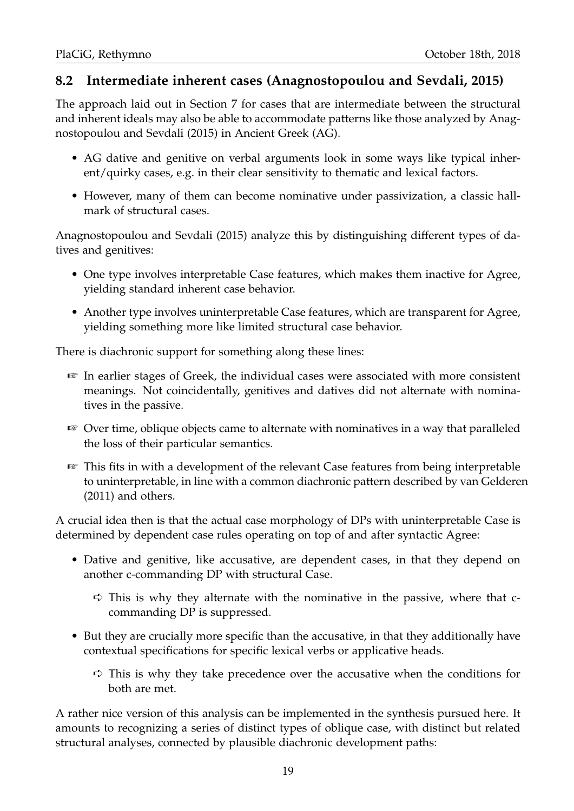## **8.2 Intermediate inherent cases (Anagnostopoulou and Sevdali, 2015)**

The approach laid out in Section 7 for cases that are intermediate between the structural and inherent ideals may also be able to accommodate patterns like those analyzed by Anagnostopoulou and Sevdali (2015) in Ancient Greek (AG).

- AG dative and genitive on verbal arguments look in some ways like typical inherent/quirky cases, e.g. in their clear sensitivity to thematic and lexical factors.
- However, many of them can become nominative under passivization, a classic hallmark of structural cases.

Anagnostopoulou and Sevdali (2015) analyze this by distinguishing different types of datives and genitives:

- One type involves interpretable Case features, which makes them inactive for Agree, yielding standard inherent case behavior.
- Another type involves uninterpretable Case features, which are transparent for Agree, yielding something more like limited structural case behavior.

There is diachronic support for something along these lines:

- ☞ In earlier stages of Greek, the individual cases were associated with more consistent meanings. Not coincidentally, genitives and datives did not alternate with nominatives in the passive.
- ☞ Over time, oblique objects came to alternate with nominatives in a way that paralleled the loss of their particular semantics.
- ☞ This fits in with a development of the relevant Case features from being interpretable to uninterpretable, in line with a common diachronic pattern described by van Gelderen (2011) and others.

A crucial idea then is that the actual case morphology of DPs with uninterpretable Case is determined by dependent case rules operating on top of and after syntactic Agree:

- Dative and genitive, like accusative, are dependent cases, in that they depend on another c-commanding DP with structural Case.
	- $\Rightarrow$  This is why they alternate with the nominative in the passive, where that ccommanding DP is suppressed.
- But they are crucially more specific than the accusative, in that they additionally have contextual specifications for specific lexical verbs or applicative heads.
	- $\leftrightarrow$  This is why they take precedence over the accusative when the conditions for both are met.

A rather nice version of this analysis can be implemented in the synthesis pursued here. It amounts to recognizing a series of distinct types of oblique case, with distinct but related structural analyses, connected by plausible diachronic development paths: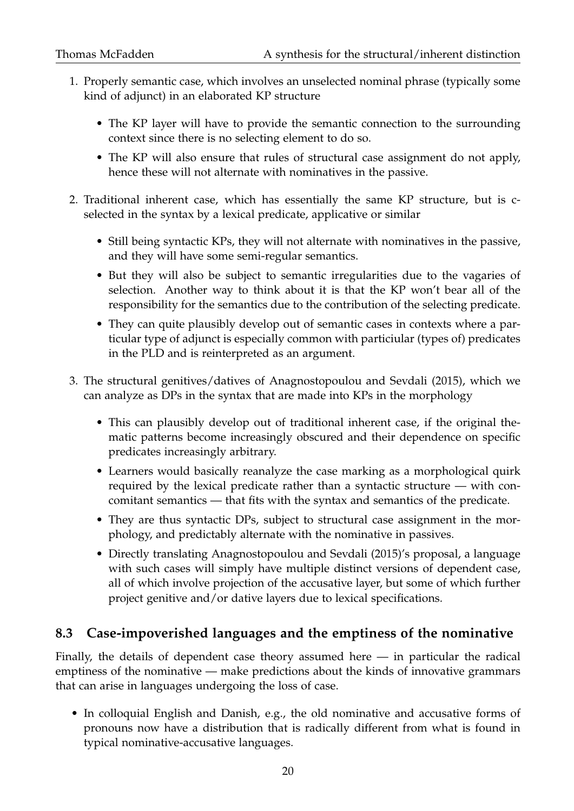- 1. Properly semantic case, which involves an unselected nominal phrase (typically some kind of adjunct) in an elaborated KP structure
	- The KP layer will have to provide the semantic connection to the surrounding context since there is no selecting element to do so.
	- The KP will also ensure that rules of structural case assignment do not apply, hence these will not alternate with nominatives in the passive.
- 2. Traditional inherent case, which has essentially the same KP structure, but is cselected in the syntax by a lexical predicate, applicative or similar
	- Still being syntactic KPs, they will not alternate with nominatives in the passive, and they will have some semi-regular semantics.
	- But they will also be subject to semantic irregularities due to the vagaries of selection. Another way to think about it is that the KP won't bear all of the responsibility for the semantics due to the contribution of the selecting predicate.
	- They can quite plausibly develop out of semantic cases in contexts where a particular type of adjunct is especially common with particiular (types of) predicates in the PLD and is reinterpreted as an argument.
- 3. The structural genitives/datives of Anagnostopoulou and Sevdali (2015), which we can analyze as DPs in the syntax that are made into KPs in the morphology
	- This can plausibly develop out of traditional inherent case, if the original thematic patterns become increasingly obscured and their dependence on specific predicates increasingly arbitrary.
	- Learners would basically reanalyze the case marking as a morphological quirk required by the lexical predicate rather than a syntactic structure — with concomitant semantics — that fits with the syntax and semantics of the predicate.
	- They are thus syntactic DPs, subject to structural case assignment in the morphology, and predictably alternate with the nominative in passives.
	- Directly translating Anagnostopoulou and Sevdali (2015)'s proposal, a language with such cases will simply have multiple distinct versions of dependent case, all of which involve projection of the accusative layer, but some of which further project genitive and/or dative layers due to lexical specifications.

## **8.3 Case-impoverished languages and the emptiness of the nominative**

Finally, the details of dependent case theory assumed here  $-$  in particular the radical emptiness of the nominative — make predictions about the kinds of innovative grammars that can arise in languages undergoing the loss of case.

• In colloquial English and Danish, e.g., the old nominative and accusative forms of pronouns now have a distribution that is radically different from what is found in typical nominative-accusative languages.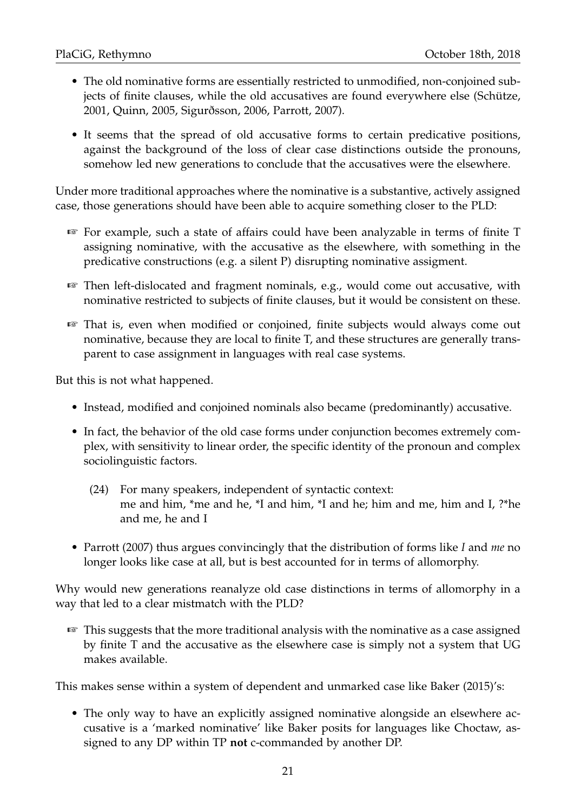- The old nominative forms are essentially restricted to unmodified, non-conjoined subjects of finite clauses, while the old accusatives are found everywhere else (Schütze, 2001, Quinn, 2005, Sigurðsson, 2006, Parrott, 2007).
- It seems that the spread of old accusative forms to certain predicative positions, against the background of the loss of clear case distinctions outside the pronouns, somehow led new generations to conclude that the accusatives were the elsewhere.

Under more traditional approaches where the nominative is a substantive, actively assigned case, those generations should have been able to acquire something closer to the PLD:

- ☞ For example, such a state of affairs could have been analyzable in terms of finite T assigning nominative, with the accusative as the elsewhere, with something in the predicative constructions (e.g. a silent P) disrupting nominative assigment.
- ☞ Then left-dislocated and fragment nominals, e.g., would come out accusative, with nominative restricted to subjects of finite clauses, but it would be consistent on these.
- ☞ That is, even when modified or conjoined, finite subjects would always come out nominative, because they are local to finite T, and these structures are generally transparent to case assignment in languages with real case systems.

But this is not what happened.

- Instead, modified and conjoined nominals also became (predominantly) accusative.
- In fact, the behavior of the old case forms under conjunction becomes extremely complex, with sensitivity to linear order, the specific identity of the pronoun and complex sociolinguistic factors.
	- (24) For many speakers, independent of syntactic context: me and him, \*me and he, \*I and him, \*I and he; him and me, him and I, ?\*he and me, he and I
- Parrott (2007) thus argues convincingly that the distribution of forms like *I* and *me* no longer looks like case at all, but is best accounted for in terms of allomorphy.

Why would new generations reanalyze old case distinctions in terms of allomorphy in a way that led to a clear mistmatch with the PLD?

☞ This suggests that the more traditional analysis with the nominative as a case assigned by finite T and the accusative as the elsewhere case is simply not a system that UG makes available.

This makes sense within a system of dependent and unmarked case like Baker (2015)'s:

• The only way to have an explicitly assigned nominative alongside an elsewhere accusative is a 'marked nominative' like Baker posits for languages like Choctaw, assigned to any DP within TP **not** c-commanded by another DP.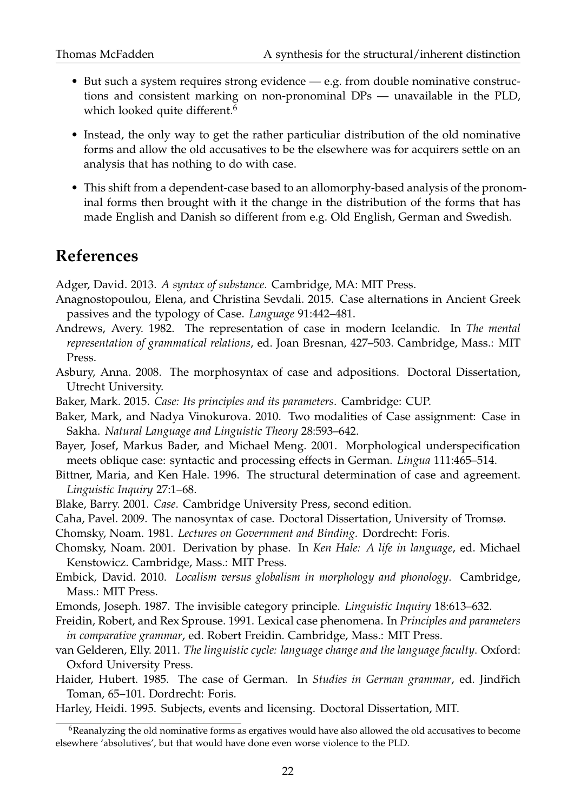- But such a system requires strong evidence e.g. from double nominative constructions and consistent marking on non-pronominal DPs — unavailable in the PLD, which looked quite different.<sup>6</sup>
- Instead, the only way to get the rather particuliar distribution of the old nominative forms and allow the old accusatives to be the elsewhere was for acquirers settle on an analysis that has nothing to do with case.
- This shift from a dependent-case based to an allomorphy-based analysis of the pronominal forms then brought with it the change in the distribution of the forms that has made English and Danish so different from e.g. Old English, German and Swedish.

# **References**

Adger, David. 2013. *A syntax of substance*. Cambridge, MA: MIT Press.

- Anagnostopoulou, Elena, and Christina Sevdali. 2015. Case alternations in Ancient Greek passives and the typology of Case. *Language* 91:442–481.
- Andrews, Avery. 1982. The representation of case in modern Icelandic. In *The mental representation of grammatical relations*, ed. Joan Bresnan, 427–503. Cambridge, Mass.: MIT Press.
- Asbury, Anna. 2008. The morphosyntax of case and adpositions. Doctoral Dissertation, Utrecht University.
- Baker, Mark. 2015. *Case: Its principles and its parameters*. Cambridge: CUP.
- Baker, Mark, and Nadya Vinokurova. 2010. Two modalities of Case assignment: Case in Sakha. *Natural Language and Linguistic Theory* 28:593–642.
- Bayer, Josef, Markus Bader, and Michael Meng. 2001. Morphological underspecification meets oblique case: syntactic and processing effects in German. *Lingua* 111:465–514.
- Bittner, Maria, and Ken Hale. 1996. The structural determination of case and agreement. *Linguistic Inquiry* 27:1–68.
- Blake, Barry. 2001. *Case*. Cambridge University Press, second edition.
- Caha, Pavel. 2009. The nanosyntax of case. Doctoral Dissertation, University of Tromsø.
- Chomsky, Noam. 1981. *Lectures on Government and Binding*. Dordrecht: Foris.
- Chomsky, Noam. 2001. Derivation by phase. In *Ken Hale: A life in language*, ed. Michael Kenstowicz. Cambridge, Mass.: MIT Press.
- Embick, David. 2010. *Localism versus globalism in morphology and phonology*. Cambridge, Mass.: MIT Press.
- Emonds, Joseph. 1987. The invisible category principle. *Linguistic Inquiry* 18:613–632.
- Freidin, Robert, and Rex Sprouse. 1991. Lexical case phenomena. In *Principles and parameters in comparative grammar*, ed. Robert Freidin. Cambridge, Mass.: MIT Press.
- van Gelderen, Elly. 2011. *The linguistic cycle: language change and the language faculty*. Oxford: Oxford University Press.
- Haider, Hubert. 1985. The case of German. In *Studies in German grammar*, ed. Jindřich Toman, 65–101. Dordrecht: Foris.
- Harley, Heidi. 1995. Subjects, events and licensing. Doctoral Dissertation, MIT.

 $6R$ eanalyzing the old nominative forms as ergatives would have also allowed the old accusatives to become elsewhere 'absolutives', but that would have done even worse violence to the PLD.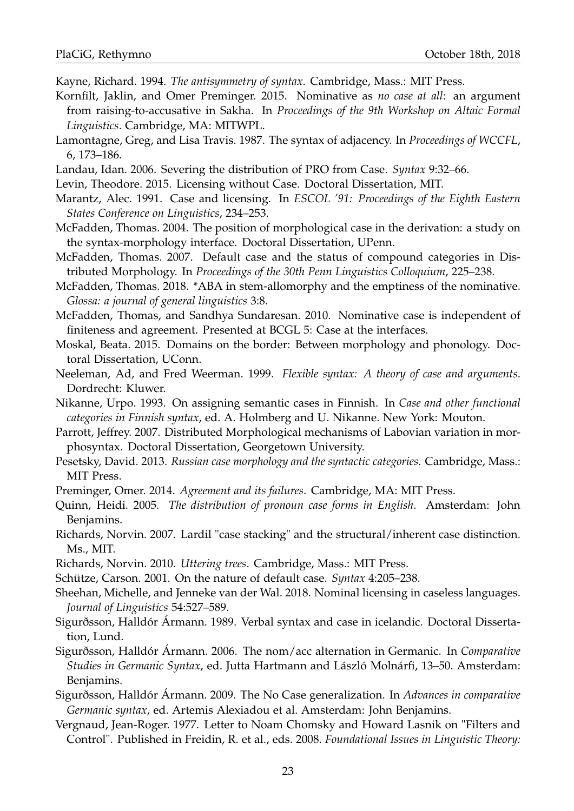Kayne, Richard. 1994. *The antisymmetry of syntax*. Cambridge, Mass.: MIT Press.

- Kornfilt, Jaklin, and Omer Preminger. 2015. Nominative as *no case at all*: an argument from raising-to-accusative in Sakha. In *Proceedings of the 9th Workshop on Altaic Formal Linguistics*. Cambridge, MA: MITWPL.
- Lamontagne, Greg, and Lisa Travis. 1987. The syntax of adjacency. In *Proceedings of WCCFL*, 6, 173–186.
- Landau, Idan. 2006. Severing the distribution of PRO from Case. *Syntax* 9:32–66.
- Levin, Theodore. 2015. Licensing without Case. Doctoral Dissertation, MIT.
- Marantz, Alec. 1991. Case and licensing. In *ESCOL '91: Proceedings of the Eighth Eastern States Conference on Linguistics*, 234–253.
- McFadden, Thomas. 2004. The position of morphological case in the derivation: a study on the syntax-morphology interface. Doctoral Dissertation, UPenn.
- McFadden, Thomas. 2007. Default case and the status of compound categories in Distributed Morphology. In *Proceedings of the 30th Penn Linguistics Colloquium*, 225–238.
- McFadden, Thomas. 2018. \*ABA in stem-allomorphy and the emptiness of the nominative. *Glossa: a journal of general linguistics* 3:8.
- McFadden, Thomas, and Sandhya Sundaresan. 2010. Nominative case is independent of finiteness and agreement. Presented at BCGL 5: Case at the interfaces.
- Moskal, Beata. 2015. Domains on the border: Between morphology and phonology. Doctoral Dissertation, UConn.
- Neeleman, Ad, and Fred Weerman. 1999. *Flexible syntax: A theory of case and arguments*. Dordrecht: Kluwer.
- Nikanne, Urpo. 1993. On assigning semantic cases in Finnish. In *Case and other functional categories in Finnish syntax*, ed. A. Holmberg and U. Nikanne. New York: Mouton.
- Parrott, Jeffrey. 2007. Distributed Morphological mechanisms of Labovian variation in morphosyntax. Doctoral Dissertation, Georgetown University.
- Pesetsky, David. 2013. *Russian case morphology and the syntactic categories*. Cambridge, Mass.: MIT Press.
- Preminger, Omer. 2014. *Agreement and its failures*. Cambridge, MA: MIT Press.
- Quinn, Heidi. 2005. *The distribution of pronoun case forms in English*. Amsterdam: John Benjamins.
- Richards, Norvin. 2007. Lardil "case stacking" and the structural/inherent case distinction. Ms., MIT.
- Richards, Norvin. 2010. *Uttering trees*. Cambridge, Mass.: MIT Press.
- Schütze, Carson. 2001. On the nature of default case. *Syntax* 4:205–238.
- Sheehan, Michelle, and Jenneke van der Wal. 2018. Nominal licensing in caseless languages. *Journal of Linguistics* 54:527–589.
- Sigurðsson, Halldór Ármann. 1989. Verbal syntax and case in icelandic. Doctoral Dissertation, Lund.
- Sigurðsson, Halldór Ármann. 2006. The nom/acc alternation in Germanic. In *Comparative Studies in Germanic Syntax*, ed. Jutta Hartmann and László Molnárfi, 13–50. Amsterdam: Benjamins.
- Sigurðsson, Halldór Ármann. 2009. The No Case generalization. In *Advances in comparative Germanic syntax*, ed. Artemis Alexiadou et al. Amsterdam: John Benjamins.
- Vergnaud, Jean-Roger. 1977. Letter to Noam Chomsky and Howard Lasnik on "Filters and Control". Published in Freidin, R. et al., eds. 2008. *Foundational Issues in Linguistic Theory:*